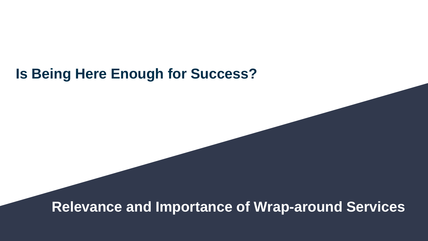#### **Is Being Here Enough for Success?**

**Relevance and Importance of Wrap-around Services**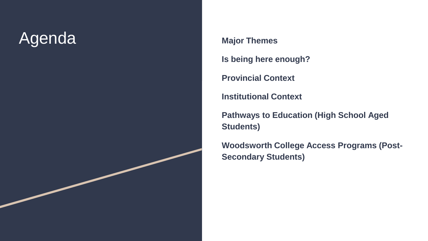## Agenda **Major Themes**

**Is being here enough?**

**Provincial Context**

**Institutional Context**

**Pathways to Education (High School Aged Students)**

**Woodsworth College Access Programs (Post-Secondary Students)**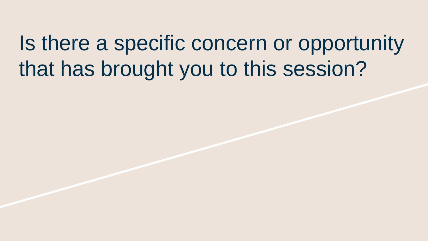Is there a specific concern or opportunity that has brought you to this session?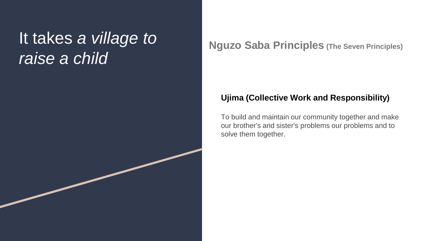#### It takes *a village to raise a child*

**Nguzo Saba Principles (The Seven Principles)**

#### **Ujima (Collective Work and Responsibility)**

To build and maintain our community together and make our brother's and sister's problems our problems and to solve them together.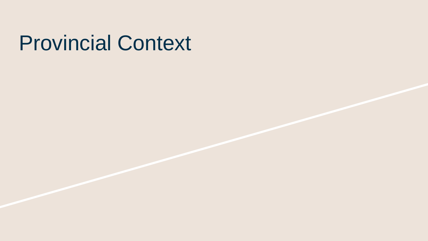## Provincial Context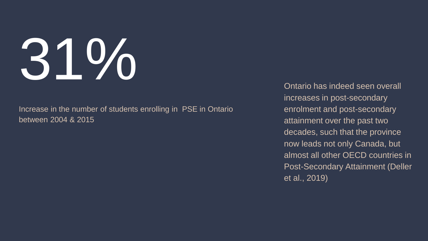# 31%

Increase in the number of students enrolling in PSE in Ontario between 2004 & 2015

Ontario has indeed seen overall increases in post-secondary enrolment and post-secondary attainment over the past two decades, such that the province now leads not only Canada, but almost all other OECD countries in Post-Secondary Attainment (Deller et al., 2019)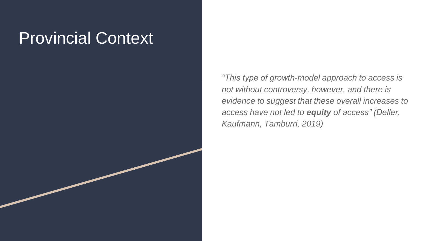#### Provincial Context

*"This type of growth-model approach to access is not without controversy, however, and there is evidence to suggest that these overall increases to access have not led to equity of access" (Deller, Kaufmann, Tamburri, 2019)*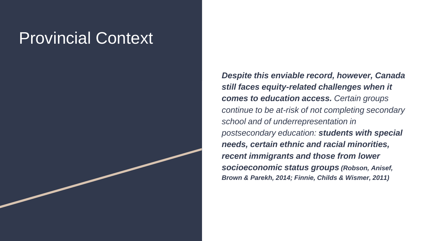#### Provincial Context

*Despite this enviable record, however, Canada still faces equity-related challenges when it comes to education access. Certain groups continue to be at-risk of not completing secondary school and of underrepresentation in postsecondary education: students with special needs, certain ethnic and racial minorities, recent immigrants and those from lower socioeconomic status groups (Robson, Anisef, Brown & Parekh, 2014; Finnie, Childs & Wismer, 2011)*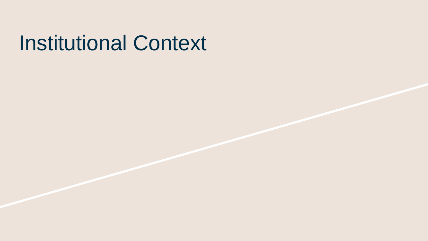## Institutional Context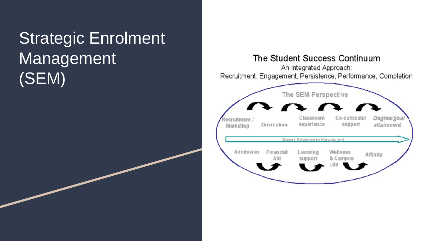## Strategic Enrolment Management (SEM)

#### The Student Success Continuum

An Integrated Approach: Recruitment, Engagement, Persistence, Performance, Completion

| $\sqrt{2}$<br>Classroom<br>experience | Co-curricular        | Degree/goal                             |
|---------------------------------------|----------------------|-----------------------------------------|
|                                       | support              | attainment                              |
|                                       |                      |                                         |
| Leaming<br>support                    | Wellness<br>& Campus | Affinity                                |
|                                       |                      | Student Relationship Management<br>Life |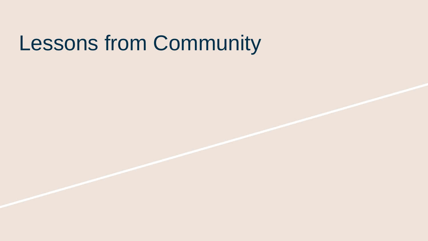# Lessons from Community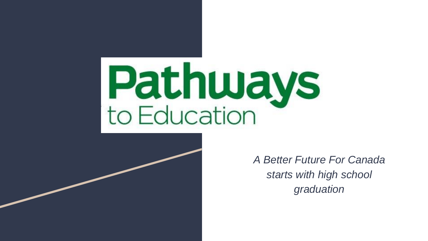# **Pathways**<br>to Education



*A Better Future For Canada starts with high school graduation*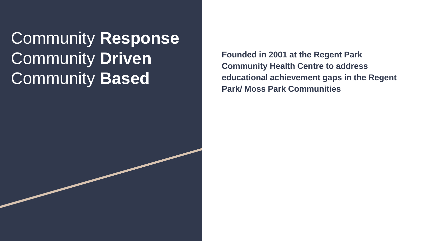Community **Response** Community **Driven** Community **Based**

**Founded in 2001 at the Regent Park Community Health Centre to address educational achievement gaps in the Regent Park/ Moss Park Communities**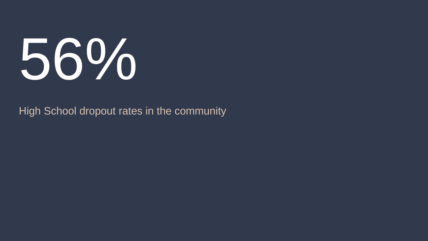

High School dropout rates in the community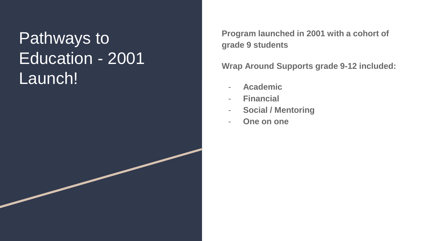## Pathways to Education - 2001 Launch!

**Program launched in 2001 with a cohort of grade 9 students** 

**Wrap Around Supports grade 9 -12 included:**

- **Academic**
- **Financial**
- **Social / Mentoring**
- **One on one**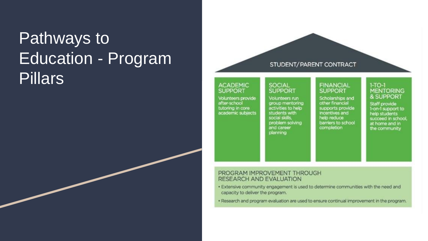## Pathways to Education - Program **Pillars**

#### STUDENT/PARENT CONTRACT

#### **ACADEMIC SUPPORT**

Volunteers provide after-school tutoring in core academic subjects

#### SOCIAL **SUPPORT**

Volunteers run group mentoring activities to help students with social skills. problem solving and career planning

#### **FINANCIAL SUPPORT**

Scholarships and other financial supports provide incentives and help reduce barriers to school completion

#### $1-TO-1$ **MENTORING** & SUPPORT

Staff provide 1-on-1 support to help students succeed in school. at home and in the community

#### PROGRAM IMPROVEMENT THROUGH **RESEARCH AND EVALUATION**

- . Extensive community engagement is used to determine communities with the need and capacity to deliver the program.
- . Research and program evaluation are used to ensure continual improvement in the program.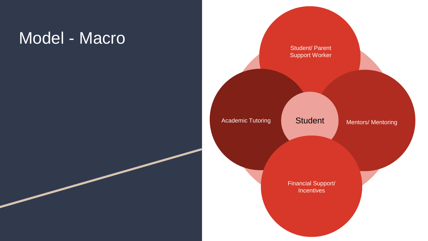#### Model - Macro

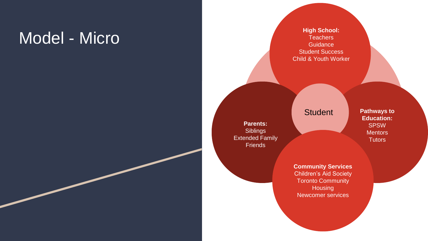## Model - Micro **Micro Allian School:**

**Teachers Guidance** Student Success Child & Youth Worker

**Student** 

**Parents: Siblings** Extended Family **Friends** 

**Pathways to Education:** SPSW **Mentors** 

**Community Services** Children's Aid Society Toronto Community **Housing** Newcomer services

**Tutors**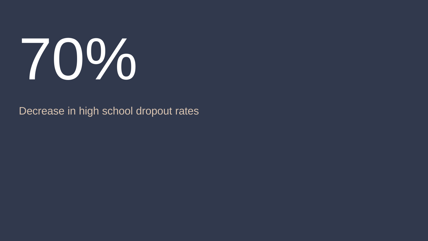

#### Decrease in high school dropout rates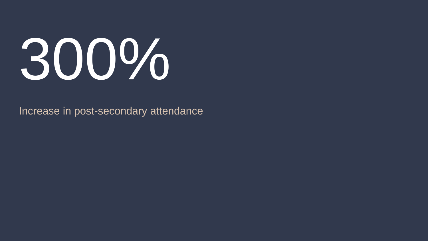# 300%

Increase in post-secondary attendance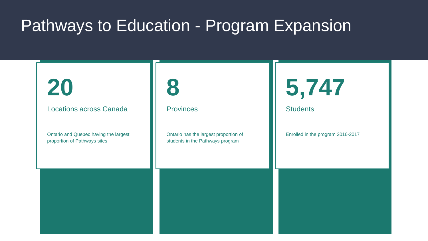#### Pathways to Education - Program Expansion

## **20**

Locations across Canada

Ontario and Quebec having the largest proportion of Pathways sites



**Provinces** 

Ontario has the largest proportion of students in the Pathways program



**Students** 

Enrolled in the program 2016-2017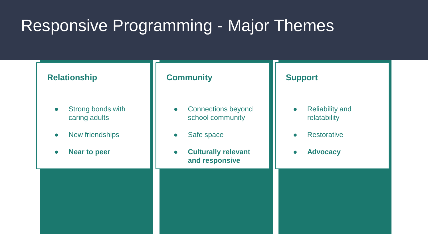## Responsive Programming - Major Themes

#### • Strong bonds with caring adults • New friendships **Near to peer Relationship**  • Connections beyond school community ● Safe space ● **Culturally relevant and responsive Community**

#### **Support**

- Reliability and relatability
- Restorative
- **Advocacy**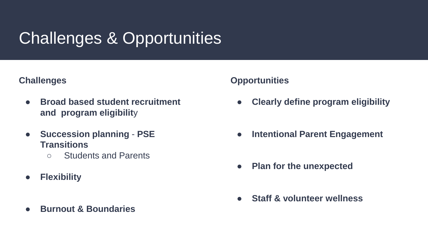## Challenges & Opportunities

#### **Challenges**

- **Broad based student recruitment and program eligibilit**y
- **Succession planning PSE Transitions**
	- Students and Parents
- **Flexibility**
- **Burnout & Boundaries**

#### **Opportunities**

- **Clearly define program eligibility**
- **Intentional Parent Engagement**
- **Plan for the unexpected**
- **Staff & volunteer wellness**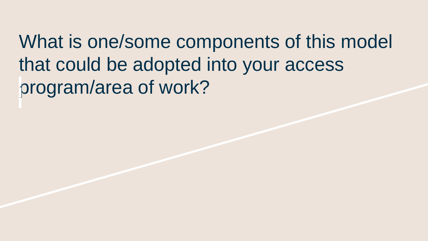What is one/some components of this model that could be adopted into your access program/area of work?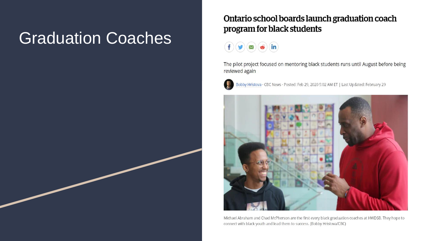### Graduation Coaches

#### Ontario school boards launch graduation coach program for black students

 $\ddot{\bullet}$  in  $f(\bm{y})$  $\left(\bm{x}\right)$ 

The pilot project focused on mentoring black students runs until August before being reviewed again



Bobby Hristova · CBC News · Posted: Feb 29, 2020 5:02 AM ET | Last Updated: February 29



Michael Abraham and Chad McPherson are the first every black graduation coaches at HWDSB. They hope to connect with black youth and lead them to success. (Bobby Hristova/CBC)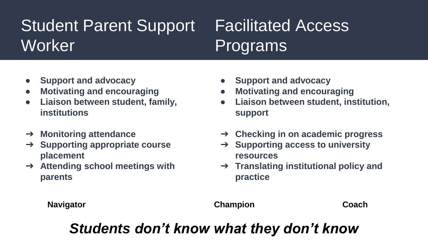## Student Parent Support Worker<sup>1</sup>

## Facilitated Access Programs

- **Support and advocacy**
- **Motivating and encouraging**
- **Liaison between student, family, institutions**
- ➔ **Monitoring attendance**
- ➔ **Supporting appropriate course placement**
- ➔ **Attending school meetings with parents**
- **Support and advocacy**
- **Motivating and encouraging**
- **Liaison between student, institution, support**
- ➔ **Checking in on academic progress**
- ➔ **Supporting access to university resources**
- ➔ **Translating institutional policy and practice**

**Navigator Champion Coach**

#### *Students don't know what they don't know*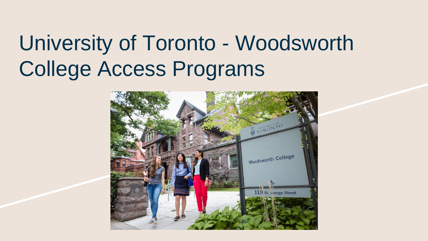# University of Toronto - Woodsworth College Access Programs

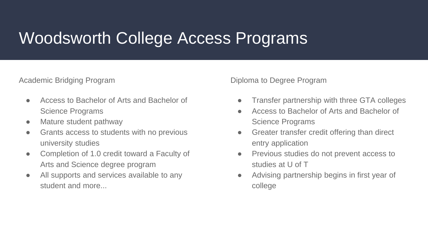#### Woodsworth College Access Programs

Academic Bridging Program

- Access to Bachelor of Arts and Bachelor of Science Programs
- Mature student pathway
- Grants access to students with no previous university studies
- Completion of 1.0 credit toward a Faculty of Arts and Science degree program
- All supports and services available to any student and more.

Diploma to Degree Program

- Transfer partnership with three GTA colleges
- Access to Bachelor of Arts and Bachelor of Science Programs
- Greater transfer credit offering than direct entry application
- Previous studies do not prevent access to studies at U of T
- Advising partnership begins in first year of college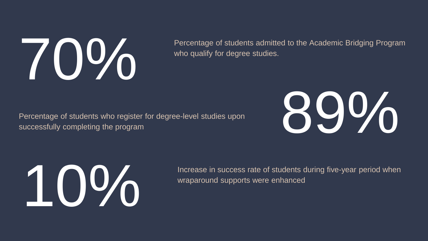

who qualify for degree studies.

Percentage of students who register for degree-level studies upon





wraparound supports were enhanced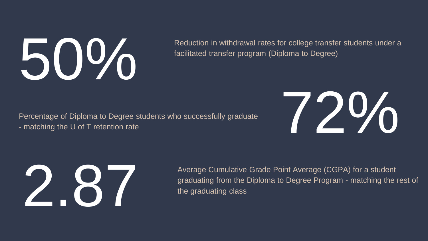

facilitated transfer program (Diploma to Degree)

Percentage of Diploma to Degree students who successfully graduate Percentage of Diploma to Degree students who successfully graduate<br>- matching the U of T retention rate





Average Cumulative Grade Point Average (CGPA) for a student<br>graduating from the Diploma to Degree Program - matching the<br>the graduating class graduating from the Diploma to Degree Program - matching the rest of the graduating class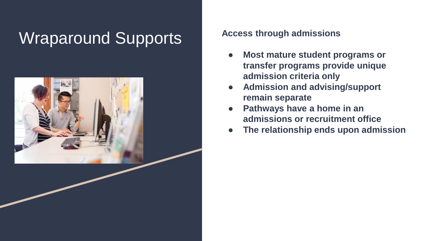## Wraparound Supports **Access through admissions**



- **Most mature student programs or transfer programs provide unique admission criteria only**
- **Admission and advising/support remain separate**
- **Pathways have a home in an admissions or recruitment office**
- **The relationship ends upon admission**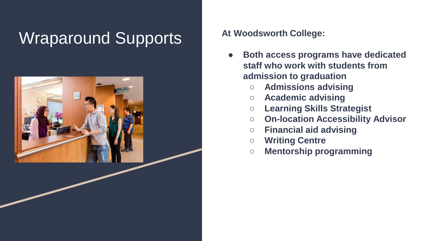## Wraparound Supports **At Woodsworth College:**



- **Both access programs have dedicated staff who work with students from admission to graduation**
	- **Admissions advising**
	- **Academic advising**
	- **Learning Skills Strategist**
	- **On-location Accessibility Advisor**
	- **Financial aid advising**
	- **Writing Centre**
	- **Mentorship programming**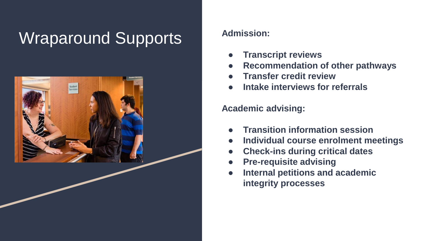## **Wraparound Supports** Admission:



- **Transcript reviews**
- **Recommendation of other pathways**
- **Transfer credit review**
- **Intake interviews for referrals**

#### **Academic advising:**

- **Transition information session**
- **Individual course enrolment meetings**
- **Check-ins during critical dates**
- **Pre-requisite advising**
- **Internal petitions and academic integrity processes**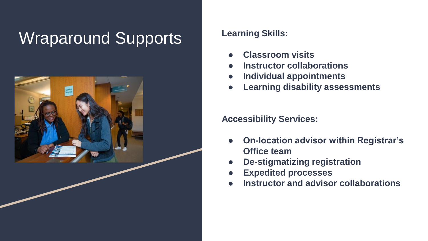## Wraparound Supports Learning Skills:



- **Classroom visits**
- **Instructor collaborations**
- **Individual appointments**
- **Learning disability assessments**

**Accessibility Services:**

- **On-location advisor within Registrar's Office team**
- **De-stigmatizing registration**
- **Expedited processes**
- **Instructor and advisor collaborations**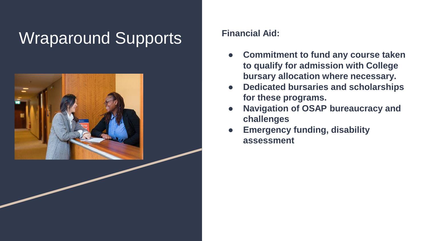## Wraparound Supports **Financial Aid:**



- **Commitment to fund any course taken to qualify for admission with College bursary allocation where necessary.**
- **Dedicated bursaries and scholarships for these programs.**
- **Navigation of OSAP bureaucracy and challenges**
- **Emergency funding, disability assessment**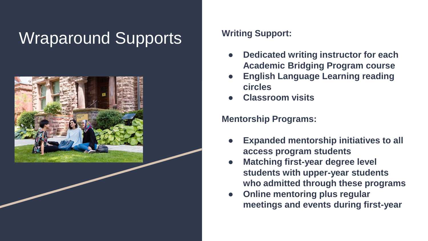## Wraparound Supports Writing Support:



- **Dedicated writing instructor for each Academic Bridging Program course**
- **English Language Learning reading circles**
- **Classroom visits**

#### **Mentorship Programs:**

- **Expanded mentorship initiatives to all access program students**
- **Matching first-year degree level students with upper-year students who admitted through these programs**
- **Online mentoring plus regular meetings and events during first-year**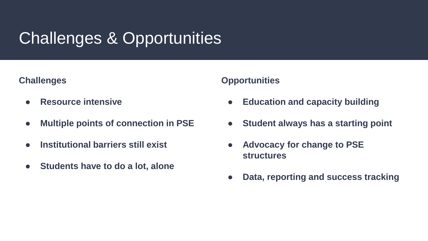## Challenges & Opportunities

#### **Challenges**

- **Resource intensive**
- **Multiple points of connection in PSE**
- **Institutional barriers still exist**
- **Students have to do a lot, alone**

#### **Opportunities**

- **Education and capacity building**
- **Student always has a starting point**
- **Advocacy for change to PSE structures**
- **Data, reporting and success tracking**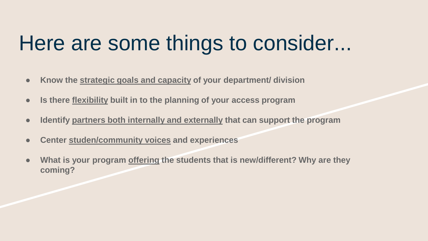## Here are some things to consider...

- **Know the strategic goals and capacity of your department/ division**
- **Is there flexibility built in to the planning of your access program**
- **Identify partners both internally and externally that can support the program**
- **Center studen/community voices and experiences**
- **What is your program offering the students that is new/different? Why are they coming?**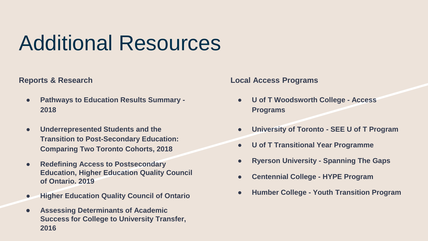# Additional Resources

#### **Reports & Research**

- **Pathways to Education Results Summary -2018**
- **Underrepresented Students and the Transition to Post-Secondary Education: Comparing Two Toronto Cohorts, 2018**
- **Redefining Access to Postsecondary Education, Higher Education Quality Council of Ontario. 2019**
- **Higher Education Quality Council of Ontario**
- **Assessing Determinants of Academic Success for College to University Transfer, 2016**

#### **Local Access Programs**

- **U of T Woodsworth College - Access Programs**
- **University of Toronto - SEE U of T Program**
- **U of T Transitional Year Programme**
- **Ryerson University - Spanning The Gaps**
- **Centennial College - HYPE Program**
- **Humber College - Youth Transition Program**